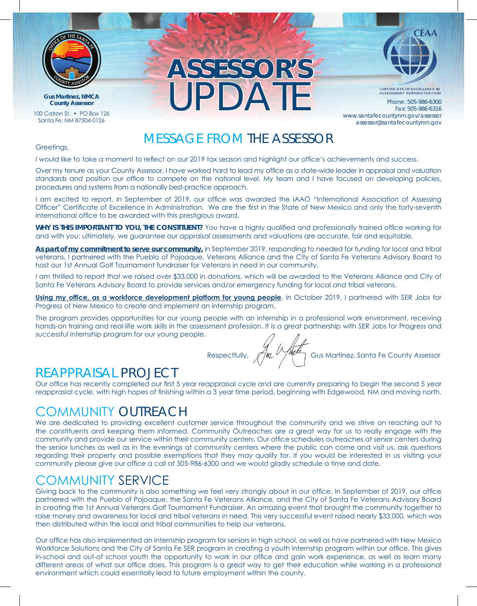

**Gus Martinez, NMCA**

100 Catron St. • PO Box 126 Santa Fe, NM 87504-0126

## **ASSESSOR'S** UPDATE **County Assessor** Phone: 505-986-6300



**CERTIFICATE OF EXCELLENCE IN**<br>ASSESSMENT ADMINISTRATION

Fax: 505-986-6316 www.santafecountynm.gov/assessor assessor@santafecountynm.gov

### MESSAGE FROM THE ASSESSOR

#### Greetings,

I would like to take a moment to reflect on our 2019 tax season and highlight our office's achievements and success.

Over my tenure as your County Assessor, I have worked hard to lead my office as a state-wide leader in appraisal and valuation standards and position our office to compete on the national level. My team and I have focused on developing policies, procedures and systems from a nationally best-practice approach.

I am excited to report, in September of 2019, our office was awarded the IAAO "International Association of Assessing Officer" Certificate of Excellence in Administration. We are the first in the State of New Mexico and only the forty-seventh international office to be awarded with this prestigious award.

**WHY IS THIS IMPORTANT TO YOU, THE CONSTITUENT?** You have a highly qualified and professionally trained office working for and with you; ultimately, we guarantee our appraisal assessments and valuations are accurate, fair and equitable.

**As part of my commitment to serve our community,** in September 2019, responding to needed for funding for local and tribal veterans, I partnered with the Pueblo of Pojoaque, Veterans Alliance and the City of Santa Fe Veterans Advisory Board to host our 1st Annual Golf Tournament fundraiser for Veterans in need in our community.

I am thrilled to report that we raised over \$33,000 in donations, which will be awarded to the Veterans Alliance and City of Santa Fe Veterans Advisory Board to provide services and/or emergency funding for local and tribal veterans.

**Using my office, as a workforce development platform for young people**, in October 2019, I partnered with SER Jobs for Progress of New Mexico to create and implement an internship program.

The program provides opportunities for our young people with an internship in a professional work environment, receiving hands-on training and real-life work skills in the assessment profession. It is a great partnership with SER Jobs for Progress and successful internship program for our young people.

Respectfully,  $\sqrt{\frac{M}{M}}$  Gus Martinez, Santa Fe County Assessor

### REAPPRAISAL PROJECT

Our office has recently completed our first 5 year reappraisal cycle and are currently preparing to begin the second 5 year reapprasial cycle, with high hopes of finishing within a 3 year time period, beginning with Edgewood, NM and moving north.

### COMMUNITY OUTREACH

We are dedicated to providing excellent customer service throughout the community and we strive on reaching out to the constituents and keeping them informed. Community Outreaches are a great way for us to really engage with the community and provide our service within their community centers. Our office schedules outreaches at senior centers during the senior lunches as well as in the evenings at community centers where the public can come and visit us, ask questions regarding their property and possible exemptions that they may qualify for. If you would be interested in us visiting your community please give our office a call at 505-986-6300 and we would gladly schedule a time and date.

### COMMUNITY SERVICE

Giving back to the community is also something we feel very strongly about in our office. In September of 2019, our office partnered with the Pueblo of Pojoaque, the Santa Fe Veterans Alliance, and the City of Santa Fe Veterans Advisory Board in creating the 1st Annual Veterans Golf Tournament Fundraiser. An amazing event that brought the community together to raise money and awareness for local and tribal veterans in need. This very successful event raised nearly \$33,000, which was then distributed within the local and tribal communities to help our veterans.

Our office has also implemented an internship program for seniors in high school, as well as have partnered with New Mexico Workforce Solutions and the City of Santa Fe SER program in creating a youth internship program within our office. This gives in-school and out-of school youth the opportunity to work in our office and gain work experience, as well as learn many different areas of what our office does. This program is a great way to get their education while working in a professional environment which could essentially lead to future employment within the county.